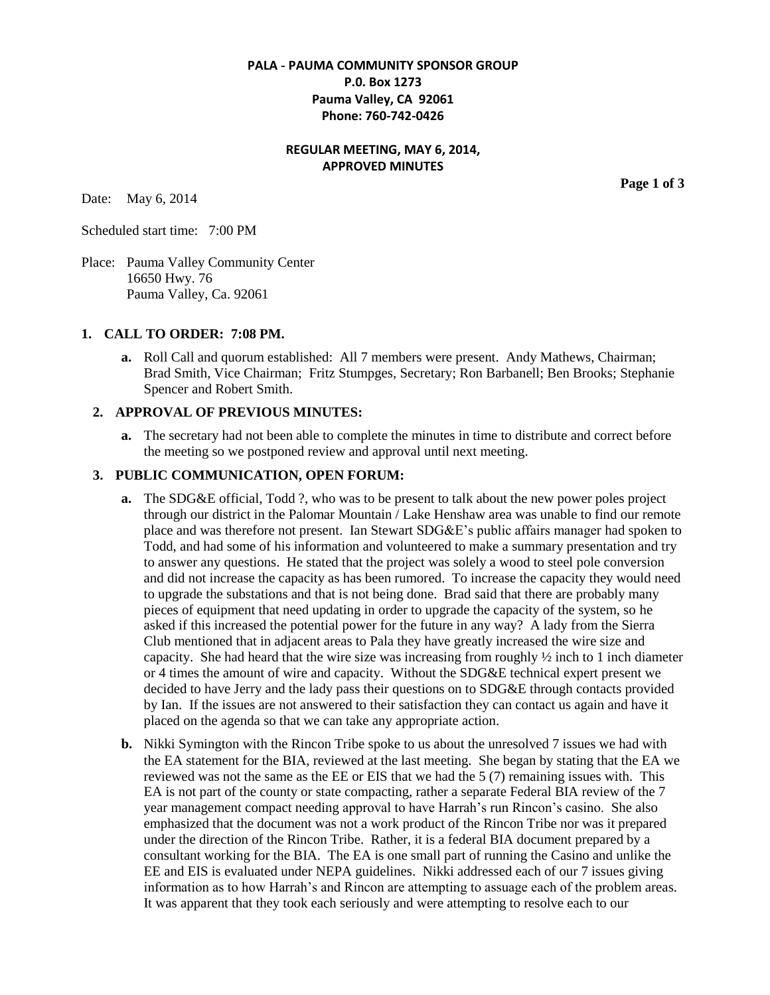# **PALA - PAUMA COMMUNITY SPONSOR GROUP P.0. Box 1273 Pauma Valley, CA 92061 Phone: 760-742-0426**

# **REGULAR MEETING, MAY 6, 2014, APPROVED MINUTES**

Date: May 6, 2014

Scheduled start time: 7:00 PM

Place: Pauma Valley Community Center 16650 Hwy. 76 Pauma Valley, Ca. 92061

### **1. CALL TO ORDER: 7:08 PM.**

**a.** Roll Call and quorum established: All 7 members were present. Andy Mathews, Chairman; Brad Smith, Vice Chairman; Fritz Stumpges, Secretary; Ron Barbanell; Ben Brooks; Stephanie Spencer and Robert Smith.

### **2. APPROVAL OF PREVIOUS MINUTES:**

**a.** The secretary had not been able to complete the minutes in time to distribute and correct before the meeting so we postponed review and approval until next meeting.

#### **3. PUBLIC COMMUNICATION, OPEN FORUM:**

- **a.** The SDG&E official, Todd ?, who was to be present to talk about the new power poles project through our district in the Palomar Mountain / Lake Henshaw area was unable to find our remote place and was therefore not present. Ian Stewart SDG&E's public affairs manager had spoken to Todd, and had some of his information and volunteered to make a summary presentation and try to answer any questions. He stated that the project was solely a wood to steel pole conversion and did not increase the capacity as has been rumored. To increase the capacity they would need to upgrade the substations and that is not being done. Brad said that there are probably many pieces of equipment that need updating in order to upgrade the capacity of the system, so he asked if this increased the potential power for the future in any way? A lady from the Sierra Club mentioned that in adjacent areas to Pala they have greatly increased the wire size and capacity. She had heard that the wire size was increasing from roughly  $\frac{1}{2}$  inch to 1 inch diameter or 4 times the amount of wire and capacity. Without the SDG&E technical expert present we decided to have Jerry and the lady pass their questions on to SDG&E through contacts provided by Ian. If the issues are not answered to their satisfaction they can contact us again and have it placed on the agenda so that we can take any appropriate action.
- **b.** Nikki Symington with the Rincon Tribe spoke to us about the unresolved 7 issues we had with the EA statement for the BIA, reviewed at the last meeting. She began by stating that the EA we reviewed was not the same as the EE or EIS that we had the 5 (7) remaining issues with. This EA is not part of the county or state compacting, rather a separate Federal BIA review of the 7 year management compact needing approval to have Harrah's run Rincon's casino. She also emphasized that the document was not a work product of the Rincon Tribe nor was it prepared under the direction of the Rincon Tribe. Rather, it is a federal BIA document prepared by a consultant working for the BIA. The EA is one small part of running the Casino and unlike the EE and EIS is evaluated under NEPA guidelines. Nikki addressed each of our 7 issues giving information as to how Harrah's and Rincon are attempting to assuage each of the problem areas. It was apparent that they took each seriously and were attempting to resolve each to our

**Page 1 of 3**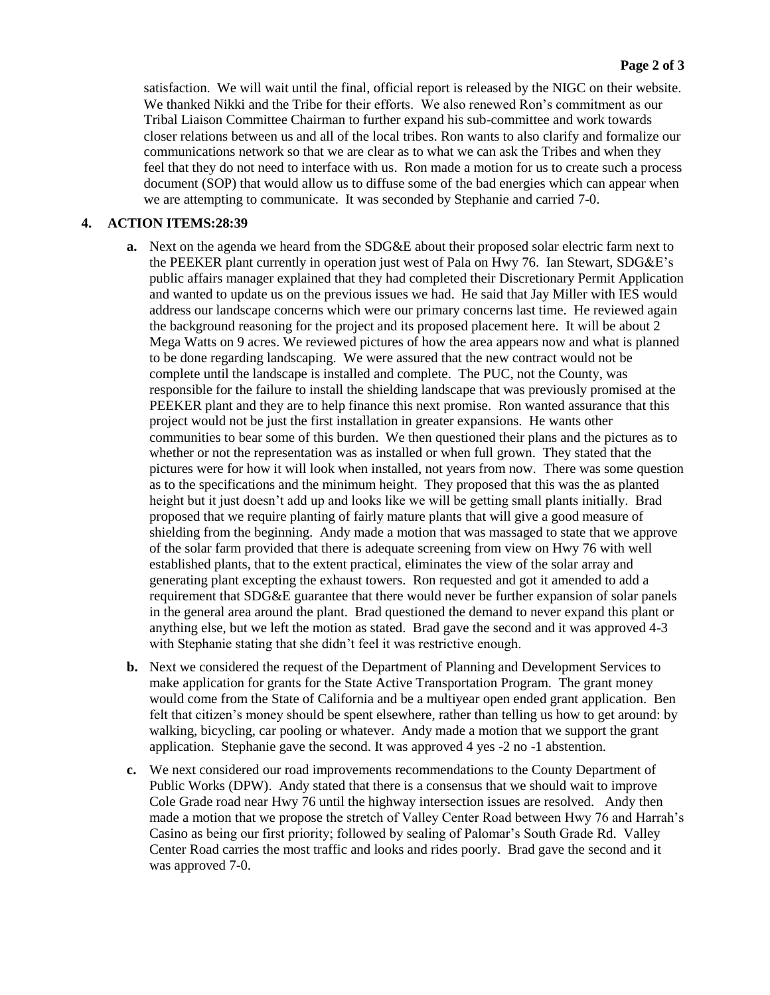satisfaction. We will wait until the final, official report is released by the NIGC on their website. We thanked Nikki and the Tribe for their efforts. We also renewed Ron's commitment as our Tribal Liaison Committee Chairman to further expand his sub-committee and work towards closer relations between us and all of the local tribes. Ron wants to also clarify and formalize our communications network so that we are clear as to what we can ask the Tribes and when they feel that they do not need to interface with us. Ron made a motion for us to create such a process document (SOP) that would allow us to diffuse some of the bad energies which can appear when we are attempting to communicate. It was seconded by Stephanie and carried 7-0.

## **4. ACTION ITEMS:28:39**

- **a.** Next on the agenda we heard from the SDG&E about their proposed solar electric farm next to the PEEKER plant currently in operation just west of Pala on Hwy 76. Ian Stewart, SDG&E's public affairs manager explained that they had completed their Discretionary Permit Application and wanted to update us on the previous issues we had. He said that Jay Miller with IES would address our landscape concerns which were our primary concerns last time. He reviewed again the background reasoning for the project and its proposed placement here. It will be about 2 Mega Watts on 9 acres. We reviewed pictures of how the area appears now and what is planned to be done regarding landscaping. We were assured that the new contract would not be complete until the landscape is installed and complete. The PUC, not the County, was responsible for the failure to install the shielding landscape that was previously promised at the PEEKER plant and they are to help finance this next promise. Ron wanted assurance that this project would not be just the first installation in greater expansions. He wants other communities to bear some of this burden. We then questioned their plans and the pictures as to whether or not the representation was as installed or when full grown. They stated that the pictures were for how it will look when installed, not years from now. There was some question as to the specifications and the minimum height. They proposed that this was the as planted height but it just doesn't add up and looks like we will be getting small plants initially. Brad proposed that we require planting of fairly mature plants that will give a good measure of shielding from the beginning. Andy made a motion that was massaged to state that we approve of the solar farm provided that there is adequate screening from view on Hwy 76 with well established plants, that to the extent practical, eliminates the view of the solar array and generating plant excepting the exhaust towers. Ron requested and got it amended to add a requirement that SDG&E guarantee that there would never be further expansion of solar panels in the general area around the plant. Brad questioned the demand to never expand this plant or anything else, but we left the motion as stated. Brad gave the second and it was approved 4-3 with Stephanie stating that she didn't feel it was restrictive enough.
- **b.** Next we considered the request of the Department of Planning and Development Services to make application for grants for the State Active Transportation Program. The grant money would come from the State of California and be a multiyear open ended grant application. Ben felt that citizen's money should be spent elsewhere, rather than telling us how to get around: by walking, bicycling, car pooling or whatever. Andy made a motion that we support the grant application. Stephanie gave the second. It was approved 4 yes -2 no -1 abstention.
- **c.** We next considered our road improvements recommendations to the County Department of Public Works (DPW). Andy stated that there is a consensus that we should wait to improve Cole Grade road near Hwy 76 until the highway intersection issues are resolved. Andy then made a motion that we propose the stretch of Valley Center Road between Hwy 76 and Harrah's Casino as being our first priority; followed by sealing of Palomar's South Grade Rd. Valley Center Road carries the most traffic and looks and rides poorly. Brad gave the second and it was approved 7-0.